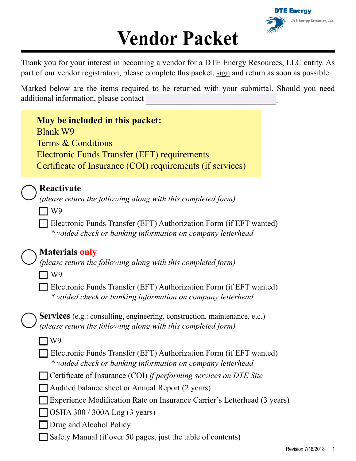

# **Vendor Packet**

Thank you for your interest in becoming a vendor for a DTE Energy Resources, LLC entity. As part of our vendor registration, please complete this packet, sign and return as soon as possible.

Marked below are the items required to be returned with your submittal. Should you need additional information, please contact

| May be included in this packet:<br><b>Blank W9</b><br>Terms & Conditions<br><b>Electronic Funds Transfer (EFT) requirements</b><br>Certificate of Insurance (COI) requirements (if services)                                                                                                                                                                                                                                                                                                                                                                                                                                             |  |
|------------------------------------------------------------------------------------------------------------------------------------------------------------------------------------------------------------------------------------------------------------------------------------------------------------------------------------------------------------------------------------------------------------------------------------------------------------------------------------------------------------------------------------------------------------------------------------------------------------------------------------------|--|
| Reactivate<br>(please return the following along with this completed form)<br>W <sub>9</sub><br>Electronic Funds Transfer (EFT) Authorization Form (if EFT wanted)<br>* voided check or banking information on company letterhead                                                                                                                                                                                                                                                                                                                                                                                                        |  |
| <b>Materials only</b><br>(please return the following along with this completed form)<br>W <sub>9</sub><br>Electronic Funds Transfer (EFT) Authorization Form (if EFT wanted)<br>* voided check or banking information on company letterhead                                                                                                                                                                                                                                                                                                                                                                                             |  |
| <b>Services</b> (e.g.: consulting, engineering, construction, maintenance, etc.)<br>(please return the following along with this completed form)<br>W <sub>9</sub><br>Electronic Funds Transfer (EFT) Authorization Form (if EFT wanted)<br>* voided check or banking information on company letterhead<br>Certificate of Insurance (COI) if performing services on DTE Site<br>Audited balance sheet or Annual Report (2 years)<br>Experience Modification Rate on Insurance Carrier's Letterhead (3 years)<br>OSHA 300 / 300A Log (3 years)<br>Drug and Alcohol Policy<br>Safety Manual (if over 50 pages, just the table of contents) |  |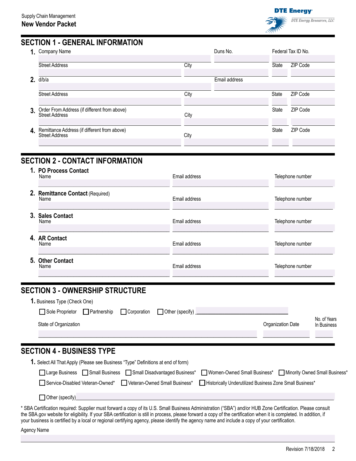



## **SECTION 1 - GENERAL INFORMATION**

| 1. | Company Name                                                          | Duns No. | Federal Tax ID No. |       |          |
|----|-----------------------------------------------------------------------|----------|--------------------|-------|----------|
|    | <b>Street Address</b>                                                 | City     |                    | State | ZIP Code |
| 2. | d/b/a                                                                 |          | Email address      |       |          |
|    | <b>Street Address</b>                                                 | City     |                    | State | ZIP Code |
| 3. | Order From Address (if different from above)<br>Street Address        | City     |                    | State | ZIP Code |
| 4. | Remittance Address (if different from above)<br><b>Street Address</b> | City     |                    | State | ZIP Code |

# **SECTION 2 - CONTACT INFORMATION**

| 1. PO Process Contact<br>Name            | Email address | Telephone number |
|------------------------------------------|---------------|------------------|
| 2. Remittance Contact (Required)<br>Name | Email address | Telephone number |
| 3. Sales Contact<br>Name                 | Email address | Telephone number |
| 4. AR Contact<br>Name                    | Email address | Telephone number |
| 5. Other Contact<br>Name                 | Email address | Telephone number |

# **SECTION 3 - OWNERSHIP STRUCTURE**

| <b>1.</b> Business Type (Check One) |             |                   |                   |                             |
|-------------------------------------|-------------|-------------------|-------------------|-----------------------------|
| Sole Proprietor Partnership         | Corporation | □ Other (specify) |                   |                             |
| State of Organization               |             |                   | Organization Date | No. of Years<br>In Business |
|                                     |             |                   |                   |                             |

# **SECTION 4 - BUSINESS TYPE**

| 1. Select All That Apply (Please see Business "Type" Definitions at end of form)                                             |  |
|------------------------------------------------------------------------------------------------------------------------------|--|
| □Large Business □Small Business □Small Disadvantaged Business* □Women-Owned Small Business* □Minority Owned Small Business*  |  |
| □ Service-Disabled Veteran-Owned* □ Veteran-Owned Small Business* □ Historically Underutilized Business Zone Small Business* |  |
| Other (specify)                                                                                                              |  |

\* SBA Certification required: Supplier must forward a copy of its U.S. Small Business Administration ("SBA") and/or HUB Zone Certification. Please consult the SBA.gov website for eligibility. If your SBA certification is still in process, please forward a copy of the certification when it is completed. In addition, if your business is certified by a local or regional certifying agency, please identify the agency name and include a copy of your certification.

Agency Name

 $\overline{\phantom{a}}$  , and the set of the set of the set of the set of the set of the set of the set of the set of the set of the set of the set of the set of the set of the set of the set of the set of the set of the set of the s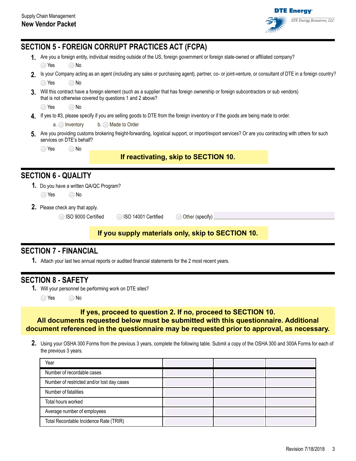

|                |                                         |                    | <b>SECTION 5 - FOREIGN CORRUPT PRACTICES ACT (FCPA)</b>            |                                                                                                                                                         |  |
|----------------|-----------------------------------------|--------------------|--------------------------------------------------------------------|---------------------------------------------------------------------------------------------------------------------------------------------------------|--|
|                |                                         |                    |                                                                    | Are you a foreign entity, individual residing outside of the US, foreign government or foreign state-owned or affiliated company?                       |  |
|                | ◯ Yes                                   | $\bigcirc$ No      |                                                                    |                                                                                                                                                         |  |
| $2_{-}$        |                                         |                    |                                                                    | Is your Company acting as an agent (including any sales or purchasing agent), partner, co- or joint-venture, or consultant of DTE in a foreign country? |  |
|                | $\bigcirc$ Yes                          | $\bigcirc$ No      |                                                                    |                                                                                                                                                         |  |
| 3.             |                                         |                    | that is not otherwise covered by questions 1 and 2 above?          | Will this contract have a foreign element (such as a supplier that has foreign ownership or foreign subcontractors or sub vendors)                      |  |
|                | $\bigcirc$ Yes                          | $\bigcirc$ No      |                                                                    |                                                                                                                                                         |  |
| 4.             |                                         |                    |                                                                    | If yes to #3, please specify if you are selling goods to DTE from the foreign inventory or if the goods are being made to order.                        |  |
|                | $a.$ Inventory                          |                    | $b.$ Made to Order                                                 |                                                                                                                                                         |  |
| 5 <sub>1</sub> | services on DTE's behalf?               |                    |                                                                    | Are you providing customs brokering freight-forwarding, logistical support, or import/export services? Or are you contracting with others for such      |  |
|                | Yes<br>$\left(\begin{array}{c}\right)$  | $\bigcirc$ No      |                                                                    |                                                                                                                                                         |  |
|                |                                         |                    |                                                                    | If reactivating, skip to SECTION 10.                                                                                                                    |  |
|                | <b>SECTION 6 - QUALITY</b>              |                    |                                                                    |                                                                                                                                                         |  |
|                | 1. Do you have a written QA/QC Program? |                    |                                                                    |                                                                                                                                                         |  |
|                | ◯ Yes                                   | $\bigcirc$ No      |                                                                    |                                                                                                                                                         |  |
|                | <b>2.</b> Please check any that apply.  |                    |                                                                    |                                                                                                                                                         |  |
|                |                                         | ISO 9000 Certified | ISO 14001 Certified<br>$\left(\begin{array}{c} \end{array}\right)$ | O Other (specify)                                                                                                                                       |  |
|                |                                         |                    |                                                                    | If you supply materials only, skip to SECTION 10.                                                                                                       |  |
|                |                                         |                    |                                                                    |                                                                                                                                                         |  |
|                | <b>SECTION 7 - FINANCIAL</b>            |                    |                                                                    |                                                                                                                                                         |  |

# **SECTION 7 - FINANCIAL**

**1.** Attach your last two annual reports or audited financial statements for the 2 most recent years.

# **SECTION 8 - SAFETY**

**1.** Will your personnel be performing work on DTE sites?

◯ Yes ◯ No

#### **If yes, proceed to question 2. If no, proceed to SECTION 10. All documents requested below must be submitted with this questionnaire. Additional document referenced in the questionnaire may be requested prior to approval, as necessary.**

**2.** Using your OSHA 300 Forms from the previous 3 years, complete the following table. Submit a copy of the OSHA 300 and 300A Forms for each of the previous 3 years.

| Year                                       |  |  |
|--------------------------------------------|--|--|
| Number of recordable cases                 |  |  |
| Number of restricted and/or lost day cases |  |  |
| Number of fatalities                       |  |  |
| Total hours worked                         |  |  |
| Average number of employees                |  |  |
| Total Recordable Incidence Rate (TRIR)     |  |  |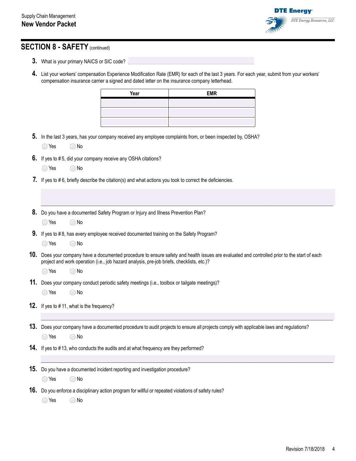

# **SECTION 8 - SAFETY** (continued)

- **3.** What is your primary NAICS or SIC code?
- **4.** List your workers' compensation Experience Modification Rate (EMR) for each of the last 3 years. For each year, submit from your workers' compensation insurance carrier a signed and dated letter on the insurance company letterhead.

|     |                |                                                  | Year                                                                                         | <b>EMR</b>                                                                                                                                   |  |
|-----|----------------|--------------------------------------------------|----------------------------------------------------------------------------------------------|----------------------------------------------------------------------------------------------------------------------------------------------|--|
|     |                |                                                  |                                                                                              |                                                                                                                                              |  |
|     |                |                                                  |                                                                                              |                                                                                                                                              |  |
|     |                |                                                  |                                                                                              |                                                                                                                                              |  |
|     |                |                                                  |                                                                                              | 5. In the last 3 years, has your company received any employee complaints from, or been inspected by, OSHA?                                  |  |
|     | $\bigcirc$ Yes | $\bigcirc$ No                                    |                                                                                              |                                                                                                                                              |  |
|     |                |                                                  | <b>6.</b> If yes to #5, did your company receive any OSHA citations?                         |                                                                                                                                              |  |
|     | $\bigcirc$ Yes | $\bigcirc$ No                                    |                                                                                              |                                                                                                                                              |  |
|     |                |                                                  |                                                                                              | 7. If yes to #6, briefly describe the citation(s) and what actions you took to correct the deficiencies.                                     |  |
|     |                |                                                  |                                                                                              |                                                                                                                                              |  |
|     |                |                                                  |                                                                                              |                                                                                                                                              |  |
|     |                |                                                  | 8. Do you have a documented Safety Program or Injury and Illness Prevention Plan?            |                                                                                                                                              |  |
|     | $\bigcirc$ Yes | $\bigcirc$ No                                    |                                                                                              |                                                                                                                                              |  |
|     |                |                                                  | 9. If yes to #8, has every employee received documented training on the Safety Program?      |                                                                                                                                              |  |
|     | ◯ Yes          | $\bigcirc$ No                                    |                                                                                              |                                                                                                                                              |  |
|     |                |                                                  |                                                                                              | 10. Does your company have a documented procedure to ensure safety and health issues are evaluated and controlled prior to the start of each |  |
|     |                |                                                  | project and work operation (i.e., job hazard analysis, pre-job briefs, checklists, etc.)?    |                                                                                                                                              |  |
|     | $\bigcirc$ Yes | $\bigcirc$ No                                    |                                                                                              |                                                                                                                                              |  |
|     |                |                                                  | 11. Does your company conduct periodic safety meetings (i.e., toolbox or tailgate meetings)? |                                                                                                                                              |  |
|     | ◯ Yes          | $\bigcirc$ No                                    |                                                                                              |                                                                                                                                              |  |
|     |                | <b>12.</b> If yes to #11, what is the frequency? |                                                                                              |                                                                                                                                              |  |
|     |                |                                                  |                                                                                              |                                                                                                                                              |  |
|     |                |                                                  |                                                                                              |                                                                                                                                              |  |
|     |                |                                                  |                                                                                              | 13. Does your company have a documented procedure to audit projects to ensure all projects comply with applicable laws and regulations?      |  |
|     | $\bigcirc$ Yes | $\bigcirc$ No                                    |                                                                                              |                                                                                                                                              |  |
|     |                |                                                  | 14. If yes to #13, who conducts the audits and at what frequency are they performed?         |                                                                                                                                              |  |
|     |                |                                                  |                                                                                              |                                                                                                                                              |  |
| 15. |                |                                                  | Do you have a documented incident reporting and investigation procedure?                     |                                                                                                                                              |  |
|     | ◯ Yes          | $\bigcirc$ No                                    |                                                                                              |                                                                                                                                              |  |
| 16. |                |                                                  |                                                                                              | Do you enforce a disciplinary action program for willful or repeated violations of safety rules?                                             |  |
|     | ◯ Yes          | No<br>∩                                          |                                                                                              |                                                                                                                                              |  |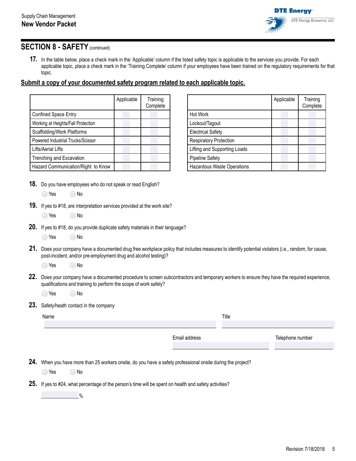

#### **SECTION 8 - SAFETY** (continued)

**17.** In the table below, place a check mark in the 'Applicable' column if the listed safety topic is applicable to the services you provide. For each applicable topic, place a check mark in the 'Training Complete' column if your employees have been trained on the regulatory requirements for that topic.

#### **Submit a copy of your documented safety program related to each applicable topic.**

|                                    | Applicable | Training<br>Complete |
|------------------------------------|------------|----------------------|
| Confined Space Entry               |            |                      |
| Working at Heights/Fall Protection |            |                      |
| Scaffolding/Work Platforms         |            |                      |
| Powered Industrial Trucks/Scissor  |            |                      |
| Lifts/Aerial Lifts                 |            |                      |
| Trenching and Excavation           |            |                      |
| Hazard Communication/Right to Know |            |                      |

- Applicable | Training **Complete** Hot Work Lockout/Tagout Electrical Safety Respiratory Protection Lifting and Supporting Loads Pipeline Safety Hazardous Waste Operations
- **18.** Do you have employees who do not speak or read English?
	- $\bigcirc$  Yes  $\bigcirc$  No
- **19.** If yes to #18, are interpretation services provided at the work site?
	- ◯ Yes ◯ No
- **20.** If yes to #18, do you provide duplicate safety materials in their language?
	- $\bigcirc$  Yes  $\bigcirc$  No
- **21.** Does your company have a documented drug free workplace policy that includes measures to identify potential violators (i.e., random, for cause, post-incident, and/or pre-employment drug and alcohol testing)?

 $\bigcirc$  Yes  $\bigcirc$  No

**22.** Does your company have a documented procedure to screen subcontractors and temporary workers to ensure they have the required experience, qualifications and training to perform the scope of work safely?

 $\bigcirc$  Yes  $\bigcirc$  No

**23.** Safety/heath contact in the company

| Name | Title         |                  |
|------|---------------|------------------|
|      |               |                  |
|      | Email address | Telephone number |
|      |               |                  |
|      |               |                  |

**24.** When you have more than 25 workers onsite, do you have a safety professional onsite during the project?

 $\bigcirc$  Yes  $\bigcirc$  No

**25.** If yes to #24, what percentage of the person's time will be spent on health and safety activities?

\_\_\_\_\_\_\_\_\_\_\_\_\_\_\_%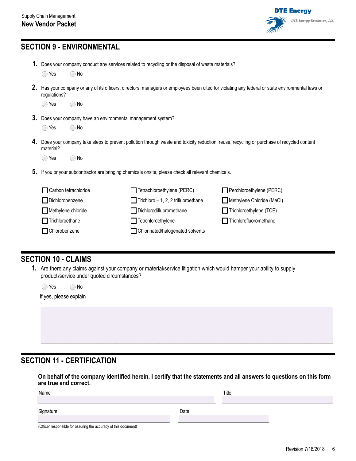

# **SECTION 9 - ENVIRONMENTAL**

|  |  |  |  | 1. Does your company conduct any services related to recycling or the disposal of waste materials? |  |
|--|--|--|--|----------------------------------------------------------------------------------------------------|--|
|--|--|--|--|----------------------------------------------------------------------------------------------------|--|

| ) No |
|------|
|      |

**2.** Has your company or any of its officers, directors, managers or employees been cited for violating any federal or state environmental laws or regulations?

| $\bigcirc$ No<br>◯ Yes |
|------------------------|
|------------------------|

**3.** Does your company have an environmental management system?

| ◯ Yes | ⊇ No |
|-------|------|
|       |      |

**4.** Does your company take steps to prevent pollution through waste and toxicity reduction, reuse, recycling or purchase of recycled content material?

 $\bigcirc$  Yes  $\bigcirc$  No

**5.** If you or your subcontractor are bringing chemicals onsite, please check all relevant chemicals.

| Carbon tetrachloride   | $\Box$ Tetrachloroethylene (PERC)          | Perchloroethylene (PERC)       |
|------------------------|--------------------------------------------|--------------------------------|
| Dichlorobenzene        | $\Box$ Trichloro - 1, 2, 2 trifluoroethane | Methylene Chloride (MeCl)      |
| Methylene chloride     | Dichlorodifluoromethane                    | $\Box$ Trichloroethylene (TCE) |
| $\Box$ Trichloroethane | $\Box$ Tetrchloroethylene                  | Trichlorofluoromethane         |
| Chlorobenzene          | Chlorinated/halogenated solvents           |                                |
|                        |                                            |                                |

#### **SECTION 10 - CLAIMS**

**1.** Are there any claims against your company or material/service litigation which would hamper your ability to supply product/service under quoted circumstances?

| $\bigcirc$ Yes         | ∩ No |
|------------------------|------|
| lf yes, please explain |      |

# **SECTION 11 - CERTIFICATION**

**On behalf of the company identified herein, I certify that the statements and all answers to questions on this form are true and correct.**

 $\_$  , and the set of the set of the set of the set of the set of the set of the set of the set of the set of the set of the set of the set of the set of the set of the set of the set of the set of the set of the set of th  $\mathcal{L}=\mathcal{L}=\mathcal{L}=\mathcal{L}=\mathcal{L}=\mathcal{L}=\mathcal{L}=\mathcal{L}=\mathcal{L}=\mathcal{L}=\mathcal{L}=\mathcal{L}=\mathcal{L}=\mathcal{L}=\mathcal{L}=\mathcal{L}=\mathcal{L}=\mathcal{L}=\mathcal{L}=\mathcal{L}=\mathcal{L}=\mathcal{L}=\mathcal{L}=\mathcal{L}=\mathcal{L}=\mathcal{L}=\mathcal{L}=\mathcal{L}=\mathcal{L}=\mathcal{L}=\mathcal{L}=\mathcal{L}=\mathcal{L}=\mathcal{L}=\mathcal{L}=\mathcal{L}=\mathcal{$ 

| Name      |      | Title |  |
|-----------|------|-------|--|
| Signature | Date |       |  |

(Officer responsible for assuring the accuracy of this document)